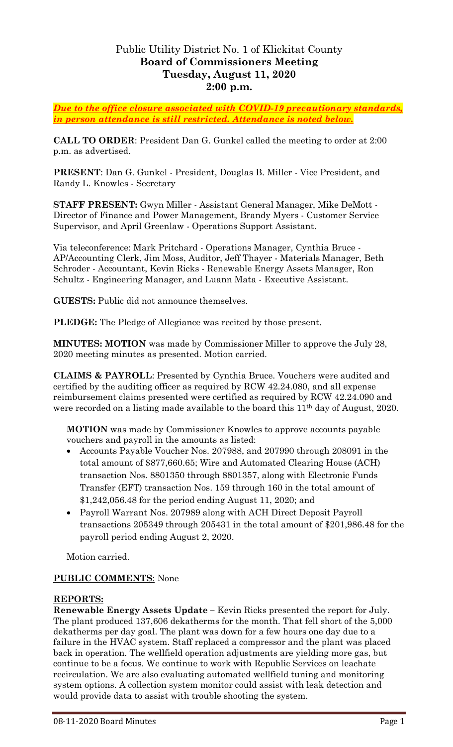# Public Utility District No. 1 of Klickitat County **Board of Commissioners Meeting Tuesday, August 11, 2020 2:00 p.m.**

*Due to the office closure associated with COVID-19 precautionary standards, in person attendance is still restricted. Attendance is noted below.*

**CALL TO ORDER**: President Dan G. Gunkel called the meeting to order at 2:00 p.m. as advertised.

**PRESENT**: Dan G. Gunkel - President, Douglas B. Miller - Vice President, and Randy L. Knowles - Secretary

**STAFF PRESENT:** Gwyn Miller - Assistant General Manager, Mike DeMott - Director of Finance and Power Management, Brandy Myers - Customer Service Supervisor, and April Greenlaw - Operations Support Assistant.

Via teleconference: Mark Pritchard - Operations Manager, Cynthia Bruce - AP/Accounting Clerk, Jim Moss, Auditor, Jeff Thayer - Materials Manager, Beth Schroder - Accountant, Kevin Ricks - Renewable Energy Assets Manager, Ron Schultz - Engineering Manager, and Luann Mata - Executive Assistant.

**GUESTS:** Public did not announce themselves.

**PLEDGE:** The Pledge of Allegiance was recited by those present.

**MINUTES: MOTION** was made by Commissioner Miller to approve the July 28, 2020 meeting minutes as presented. Motion carried.

**CLAIMS & PAYROLL**: Presented by Cynthia Bruce. Vouchers were audited and certified by the auditing officer as required by RCW 42.24.080, and all expense reimbursement claims presented were certified as required by RCW 42.24.090 and were recorded on a listing made available to the board this 11<sup>th</sup> day of August, 2020.

**MOTION** was made by Commissioner Knowles to approve accounts payable vouchers and payroll in the amounts as listed:

- Accounts Payable Voucher Nos. 207988, and 207990 through 208091 in the total amount of \$877,660.65; Wire and Automated Clearing House (ACH) transaction Nos. 8801350 through 8801357, along with Electronic Funds Transfer (EFT) transaction Nos. 159 through 160 in the total amount of \$1,242,056.48 for the period ending August 11, 2020; and
- Payroll Warrant Nos. 207989 along with ACH Direct Deposit Payroll transactions 205349 through 205431 in the total amount of \$201,986.48 for the payroll period ending August 2, 2020.

Motion carried.

### **PUBLIC COMMENTS**: None

### **REPORTS:**

**Renewable Energy Assets Update –** Kevin Ricks presented the report for July. The plant produced 137,606 dekatherms for the month. That fell short of the 5,000 dekatherms per day goal. The plant was down for a few hours one day due to a failure in the HVAC system. Staff replaced a compressor and the plant was placed back in operation. The wellfield operation adjustments are yielding more gas, but continue to be a focus. We continue to work with Republic Services on leachate recirculation. We are also evaluating automated wellfield tuning and monitoring system options. A collection system monitor could assist with leak detection and would provide data to assist with trouble shooting the system.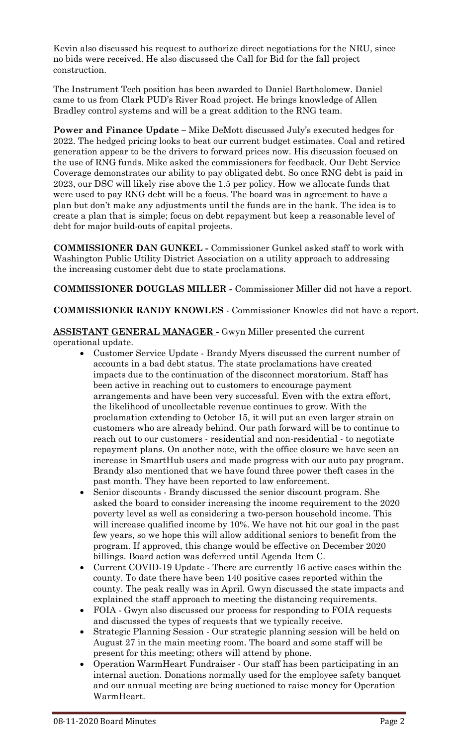Kevin also discussed his request to authorize direct negotiations for the NRU, since no bids were received. He also discussed the Call for Bid for the fall project construction.

The Instrument Tech position has been awarded to Daniel Bartholomew. Daniel came to us from Clark PUD's River Road project. He brings knowledge of Allen Bradley control systems and will be a great addition to the RNG team.

**Power and Finance Update –** Mike DeMott discussed July's executed hedges for 2022. The hedged pricing looks to beat our current budget estimates. Coal and retired generation appear to be the drivers to forward prices now. His discussion focused on the use of RNG funds. Mike asked the commissioners for feedback. Our Debt Service Coverage demonstrates our ability to pay obligated debt. So once RNG debt is paid in 2023, our DSC will likely rise above the 1.5 per policy. How we allocate funds that were used to pay RNG debt will be a focus. The board was in agreement to have a plan but don't make any adjustments until the funds are in the bank. The idea is to create a plan that is simple; focus on debt repayment but keep a reasonable level of debt for major build-outs of capital projects.

**COMMISSIONER DAN GUNKEL -** Commissioner Gunkel asked staff to work with Washington Public Utility District Association on a utility approach to addressing the increasing customer debt due to state proclamations.

**COMMISSIONER DOUGLAS MILLER -** Commissioner Miller did not have a report.

**COMMISSIONER RANDY KNOWLES** - Commissioner Knowles did not have a report.

# **ASSISTANT GENERAL MANAGER -** Gwyn Miller presented the current operational update.

- Customer Service Update Brandy Myers discussed the current number of accounts in a bad debt status. The state proclamations have created impacts due to the continuation of the disconnect moratorium. Staff has been active in reaching out to customers to encourage payment arrangements and have been very successful. Even with the extra effort, the likelihood of uncollectable revenue continues to grow. With the proclamation extending to October 15, it will put an even larger strain on customers who are already behind. Our path forward will be to continue to reach out to our customers - residential and non-residential - to negotiate repayment plans. On another note, with the office closure we have seen an increase in SmartHub users and made progress with our auto pay program. Brandy also mentioned that we have found three power theft cases in the past month. They have been reported to law enforcement.
- Senior discounts Brandy discussed the senior discount program. She asked the board to consider increasing the income requirement to the 2020 poverty level as well as considering a two-person household income. This will increase qualified income by 10%. We have not hit our goal in the past few years, so we hope this will allow additional seniors to benefit from the program. If approved, this change would be effective on December 2020 billings. Board action was deferred until Agenda Item C.
- Current COVID-19 Update There are currently 16 active cases within the county. To date there have been 140 positive cases reported within the county. The peak really was in April. Gwyn discussed the state impacts and explained the staff approach to meeting the distancing requirements.
- FOIA Gwyn also discussed our process for responding to FOIA requests and discussed the types of requests that we typically receive.
- Strategic Planning Session Our strategic planning session will be held on August 27 in the main meeting room. The board and some staff will be present for this meeting; others will attend by phone.
- Operation WarmHeart Fundraiser Our staff has been participating in an internal auction. Donations normally used for the employee safety banquet and our annual meeting are being auctioned to raise money for Operation WarmHeart.